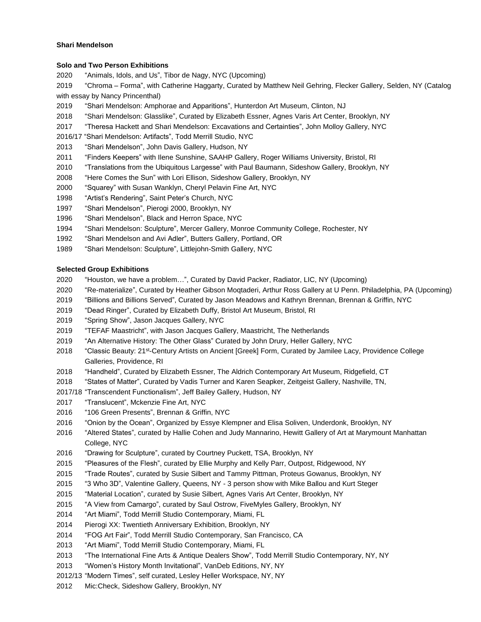## **Shari Mendelson**

## **Solo and Two Person Exhibitions**

"Animals, Idols, and Us", Tibor de Nagy, NYC (Upcoming)

 "Chroma – Forma", with Catherine Haggarty, Curated by Matthew Neil Gehring, Flecker Gallery, Selden, NY (Catalog with essay by Nancy Princenthal)

- "Shari Mendelson: Amphorae and Apparitions", Hunterdon Art Museum, Clinton, NJ
- "Shari Mendelson: Glasslike", Curated by Elizabeth Essner, Agnes Varis Art Center, Brooklyn, NY
- "Theresa Hackett and Shari Mendelson: Excavations and Certainties", John Molloy Gallery, NYC
- 2016/17 "Shari Mendelson: Artifacts", Todd Merrill Studio, NYC
- "Shari Mendelson", John Davis Gallery, Hudson, NY
- "Finders Keepers" with Ilene Sunshine, SAAHP Gallery, Roger Williams University, Bristol, RI
- "Translations from the Ubiquitous Largesse" with Paul Baumann, Sideshow Gallery, Brooklyn, NY
- "Here Comes the Sun" with Lori Ellison, Sideshow Gallery, Brooklyn, NY
- "Squarey" with Susan Wanklyn, Cheryl Pelavin Fine Art, NYC
- "Artist's Rendering", Saint Peter's Church, NYC
- "Shari Mendelson", Pierogi 2000, Brooklyn, NY
- "Shari Mendelson", Black and Herron Space, NYC
- "Shari Mendelson: Sculpture", Mercer Gallery, Monroe Community College, Rochester, NY
- "Shari Mendelson and Avi Adler", Butters Gallery, Portland, OR
- "Shari Mendelson: Sculpture", Littlejohn-Smith Gallery, NYC

# **Selected Group Exhibitions**

- "Houston, we have a problem…", Curated by David Packer, Radiator, LIC, NY (Upcoming)
- "Re-materialize", Curated by Heather Gibson Moqtaderi, Arthur Ross Gallery at U Penn. Philadelphia, PA (Upcoming)
- "Billions and Billions Served", Curated by Jason Meadows and Kathryn Brennan, Brennan & Griffin, NYC
- "Dead Ringer", Curated by Elizabeth Duffy, Bristol Art Museum, Bristol, RI
- "Spring Show", Jason Jacques Gallery, NYC
- "TEFAF Maastricht", with Jason Jacques Gallery, Maastricht, The Netherlands
- "An Alternative History: The Other Glass" Curated by John Drury, Heller Gallery, NYC
- "Classic Beauty: 21st -Century Artists on Ancient [Greek] Form, Curated by Jamilee Lacy, Providence College Galleries, Providence, RI
- "Handheld", Curated by Elizabeth Essner, The Aldrich Contemporary Art Museum, Ridgefield, CT
- "States of Matter", Curated by Vadis Turner and Karen Seapker, Zeitgeist Gallery, Nashville, TN,
- 2017/18 "Transcendent Functionalism", Jeff Bailey Gallery, Hudson, NY
- "Translucent", Mckenzie Fine Art, NYC
- "106 Green Presents", Brennan & Griffin, NYC
- "Onion by the Ocean", Organized by Essye Klempner and Elisa Soliven, Underdonk, Brooklyn, NY
- "Altered States", curated by Hallie Cohen and Judy Mannarino, Hewitt Gallery of Art at Marymount Manhattan College, NYC
- "Drawing for Sculpture", curated by Courtney Puckett, TSA, Brooklyn, NY
- "Pleasures of the Flesh", curated by Ellie Murphy and Kelly Parr, Outpost, Ridgewood, NY
- "Trade Routes", curated by Susie Silbert and Tammy Pittman, Proteus Gowanus, Brooklyn, NY
- 2015 "3 Who 3D", Valentine Gallery, Queens, NY 3 person show with Mike Ballou and Kurt Steger
- "Material Location", curated by Susie Silbert, Agnes Varis Art Center, Brooklyn, NY
- "A View from Camargo", curated by Saul Ostrow, FiveMyles Gallery, Brooklyn, NY
- "Art Miami", Todd Merrill Studio Contemporary, Miami, FL
- Pierogi XX: Twentieth Anniversary Exhibition, Brooklyn, NY
- "FOG Art Fair", Todd Merrill Studio Contemporary, San Francisco, CA
- "Art Miami", Todd Merrill Studio Contemporary, Miami, FL
- "The International Fine Arts & Antique Dealers Show", Todd Merrill Studio Contemporary, NY, NY
- "Women's History Month Invitational", VanDeb Editions, NY, NY
- 2012/13 "Modern Times", self curated, Lesley Heller Workspace, NY, NY
- Mic:Check, Sideshow Gallery, Brooklyn, NY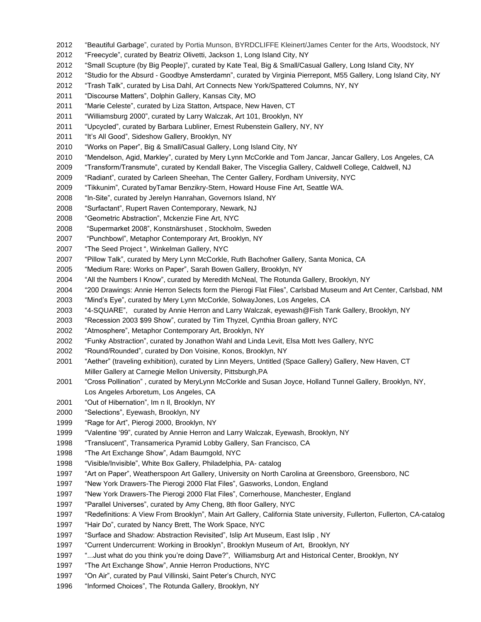- "Beautiful Garbage", curated by Portia Munson, BYRDCLIFFE Kleinert/James Center for the Arts, Woodstock, NY
- "Freecycle", curated by Beatriz Olivetti, Jackson 1, Long Island City, NY
- "Small Scupture (by Big People)", curated by Kate Teal, Big & Small/Casual Gallery, Long Island City, NY
- "Studio for the Absurd Goodbye Amsterdamn", curated by Virginia Pierrepont, M55 Gallery, Long Island City, NY
- "Trash Talk", curated by Lisa Dahl, Art Connects New York/Spattered Columns, NY, NY
- "Discourse Matters", Dolphin Gallery, Kansas City, MO
- "Marie Celeste", curated by Liza Statton, Artspace, New Haven, CT
- "Williamsburg 2000", curated by Larry Walczak, Art 101, Brooklyn, NY
- "Upcycled", curated by Barbara Lubliner, Ernest Rubenstein Gallery, NY, NY
- "It's All Good", Sideshow Gallery, Brooklyn, NY
- "Works on Paper", Big & Small/Casual Gallery, Long Island City, NY
- "Mendelson, Agid, Markley", curated by Mery Lynn McCorkle and Tom Jancar, Jancar Gallery, Los Angeles, CA
- "Transform/Transmute", curated by Kendall Baker, The Visceglia Gallery, Caldwell College, Caldwell, NJ
- "Radiant", curated by Carleen Sheehan, The Center Gallery, Fordham University, NYC
- "Tikkunim"*,* Curated byTamar Benzikry-Stern, Howard House Fine Art, Seattle WA.
- "In-Site", curated by Jerelyn Hanrahan, Governors Island, NY
- "Surfactant", Rupert Raven Contemporary, Newark, NJ
- "Geometric Abstraction", Mckenzie Fine Art, NYC
- "Supermarket 2008", Konstnärshuset , Stockholm, Sweden
- "Punchbowl", Metaphor Contemporary Art, Brooklyn, NY
- 2007 "The Seed Project ", Winkelman Gallery, NYC
- "Pillow Talk", curated by Mery Lynn McCorkle, Ruth Bachofner Gallery, Santa Monica, CA
- "Medium Rare: Works on Paper", Sarah Bowen Gallery, Brooklyn, NY
- "All the Numbers I Know", curated by Meredith McNeal, The Rotunda Gallery, Brooklyn, NY
- "200 Drawings: Annie Herron Selects form the Pierogi Flat Files", Carlsbad Museum and Art Center, Carlsbad, NM
- "Mind's Eye", curated by Mery Lynn McCorkle, SolwayJones, Los Angeles, CA
- "4-SQUARE", curated by Annie Herron and Larry Walczak, eyewash@Fish Tank Gallery, Brooklyn, NY
- "Recession 2003 \$99 Show", curated by Tim Thyzel, Cynthia Broan gallery, NYC
- "Atmosphere", Metaphor Contemporary Art, Brooklyn, NY
- "Funky Abstraction", curated by Jonathon Wahl and Linda Levit, Elsa Mott Ives Gallery, NYC
- "Round/Rounded", curated by Don Voisine, Konos, Brooklyn, NY
- "Aether" (traveling exhibition), curated by Linn Meyers, Untitled (Space Gallery) Gallery, New Haven, CT Miller Gallery at Carnegie Mellon University, Pittsburgh,PA
- "Cross Pollination" , curated by MeryLynn McCorkle and Susan Joyce, Holland Tunnel Gallery, Brooklyn, NY, Los Angeles Arboretum, Los Angeles, CA
- "Out of Hibernation", Im n Il, Brooklyn, NY
- "Selections", Eyewash, Brooklyn, NY
- "Rage for Art", Pierogi 2000, Brooklyn, NY
- "Valentine '99", curated by Annie Herron and Larry Walczak, Eyewash, Brooklyn, NY
- "Translucent", Transamerica Pyramid Lobby Gallery, San Francisco, CA
- "The Art Exchange Show", Adam Baumgold, NYC
- "Visible/Invisible", White Box Gallery, Philadelphia, PA- catalog
- "Art on Paper", Weatherspoon Art Gallery, University on North Carolina at Greensboro, Greensboro, NC
- "New York Drawers-The Pierogi 2000 Flat Files", Gasworks, London, England
- "New York Drawers-The Pierogi 2000 Flat Files", Cornerhouse, Manchester, England
- "Parallel Universes", curated by Amy Cheng, 8th floor Gallery, NYC
- "Redefinitions: A View From Brooklyn", Main Art Gallery, California State university, Fullerton, Fullerton, CA-catalog
- "Hair Do", curated by Nancy Brett, The Work Space, NYC
- "Surface and Shadow: Abstraction Revisited", Islip Art Museum, East Islip , NY
- "Current Undercurrent: Working in Brooklyn", Brooklyn Museum of Art, Brooklyn, NY
- "...Just what do you think you're doing Dave?", Williamsburg Art and Historical Center, Brooklyn, NY
- "The Art Exchange Show", Annie Herron Productions, NYC
- "On Air", curated by Paul Villinski, Saint Peter's Church, NYC
- "Informed Choices", The Rotunda Gallery, Brooklyn, NY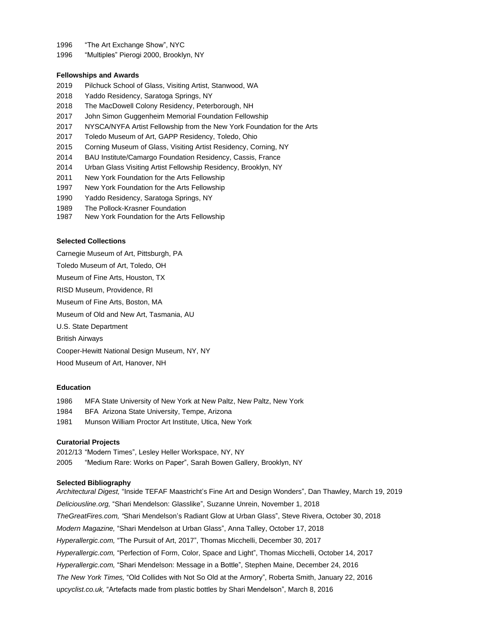- 1996 "The Art Exchange Show", NYC
- 1996 "Multiples" Pierogi 2000, Brooklyn, NY

## **Fellowships and Awards**

- 2019 Pilchuck School of Glass, Visiting Artist, Stanwood, WA
- 2018 Yaddo Residency, Saratoga Springs, NY
- 2018 The MacDowell Colony Residency, Peterborough, NH
- 2017 John Simon Guggenheim Memorial Foundation Fellowship
- 2017 NYSCA/NYFA Artist Fellowship from the New York Foundation for the Arts
- 2017 Toledo Museum of Art, GAPP Residency, Toledo, Ohio
- 2015 Corning Museum of Glass, Visiting Artist Residency, Corning, NY
- 2014 BAU Institute/Camargo Foundation Residency, Cassis, France
- 2014 Urban Glass Visiting Artist Fellowship Residency, Brooklyn, NY
- 2011 New York Foundation for the Arts Fellowship
- 1997 New York Foundation for the Arts Fellowship
- 1990 Yaddo Residency, Saratoga Springs, NY
- 1989 The Pollock-Krasner Foundation
- 1987 New York Foundation for the Arts Fellowship

# **Selected Collections**

Carnegie Museum of Art, Pittsburgh, PA Toledo Museum of Art, Toledo, OH Museum of Fine Arts, Houston, TX RISD Museum, Providence, RI Museum of Fine Arts, Boston, MA Museum of Old and New Art, Tasmania, AU U.S. State Department British Airways Cooper-Hewitt National Design Museum, NY, NY Hood Museum of Art, Hanover, NH

### **Education**

1986 MFA State University of New York at New Paltz, New Paltz, New York

1984 BFA Arizona State University, Tempe, Arizona

1981 Munson William Proctor Art Institute, Utica, New York

## **Curatorial Projects**

2012/13 "Modern Times", Lesley Heller Workspace, NY, NY 2005 "Medium Rare: Works on Paper", Sarah Bowen Gallery, Brooklyn, NY

### **Selected Bibliography**

*Architectural Digest,* "Inside TEFAF Maastricht's Fine Art and Design Wonders", Dan Thawley, March 19, 2019 *Deliciousline.org,* "Shari Mendelson: Glasslike", Suzanne Unrein, November 1, 2018 *TheGreatFires.com, "*Shari Mendelson's Radiant Glow at Urban Glass", Steve Rivera, October 30, 2018 *Modern Magazine,* "Shari Mendelson at Urban Glass", Anna Talley, October 17, 2018 *Hyperallergic.com,* "The Pursuit of Art, 2017", Thomas Micchelli, December 30, 2017 *Hyperallergic.com,* "Perfection of Form, Color, Space and Light", Thomas Micchelli, October 14, 2017 *Hyperallergic.com,* "Shari Mendelson: Message in a Bottle", Stephen Maine, December 24, 2016 *The New York Times,* "Old Collides with Not So Old at the Armory", Roberta Smith, January 22, 2016 u*pcyclist.co.uk,* "Artefacts made from plastic bottles by Shari Mendelson", March 8, 2016